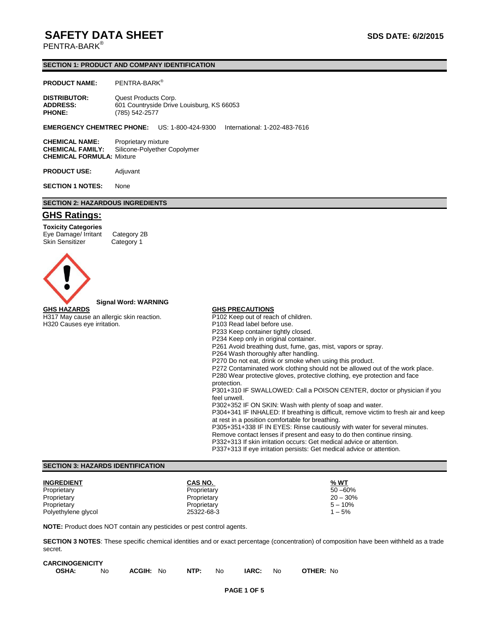# **SAFETY DATA SHEET SAFETY DATA** SUBLET

PENTRA-BARK<sup>®</sup>

### **SECTION 1: PRODUCT AND COMPANY IDENTIFICATION**

### **PRODUCT NAME:** PENTRA-BARK®

| <b>DISTRIBUTOR:</b> | Quest Products Corp.                      |
|---------------------|-------------------------------------------|
| <b>ADDRESS:</b>     | 601 Countryside Drive Louisburg, KS 66053 |
| <b>PHONE:</b>       | (785) 542-2577                            |

### **EMERGENCY CHEMTREC PHONE:** US: 1-800-424-9300 International: 1-202-483-7616

**CHEMICAL NAME:** Proprietary mixture **CHEMICAL FAMILY:** Silicone-Polyether Copolymer **CHEMICAL FORMULA:** Mixture

**PRODUCT USE:** Adjuvant

**SECTION 1 NOTES:** None

## **SECTION 2: HAZARDOUS INGREDIENTS**

# **GHS Ratings:**

**Toxicity Categories** Eye Damage/ Irritant Category 2B Skin Sensitizer Category 1





### **Signal Word: WARNING**

H317 May cause an allergic skin reaction. H320 Causes eye irritation.

### **GHS PRECAUTIONS**

P102 Keep out of reach of children. P103 Read label before use. P233 Keep container tightly closed. P234 Keep only in original container. P261 Avoid breathing dust, fume, gas, mist, vapors or spray. P264 Wash thoroughly after handling. P270 Do not eat, drink or smoke when using this product. P272 Contaminated work clothing should not be allowed out of the work place. P280 Wear protective gloves, protective clothing, eye protection and face protection. P301+310 IF SWALLOWED: Call a POISON CENTER, doctor or physician if you feel unwell. P302+352 IF ON SKIN: Wash with plenty of soap and water. P304+341 IF INHALED: If breathing is difficult, remove victim to fresh air and keep at rest in a position comfortable for breathing. P305+351+338 IF IN EYES: Rinse cautiously with water for several minutes. Remove contact lenses if present and easy to do then continue rinsing. P332+313 If skin irritation occurs: Get medical advice or attention. P337+313 If eye irritation persists: Get medical advice or attention.

### **SECTION 3: HAZARDS IDENTIFICATION**

| <b>INGREDIENT</b>   | CAS NO.     | % WT       |
|---------------------|-------------|------------|
| Proprietary         | Proprietary | $50 - 60%$ |
| Proprietary         | Proprietary | $20 - 30%$ |
| Proprietary         | Proprietary | $5 - 10\%$ |
| Polyethylene glycol | 25322-68-3  | $1 - 5%$   |

**NOTE:** Product does NOT contain any pesticides or pest control agents.

**SECTION 3 NOTES**: These specific chemical identities and or exact percentage (concentration) of composition have been withheld as a trade secret.

| <b>CARCINOGENICITY</b> |    |           |      |     |       |      |                  |
|------------------------|----|-----------|------|-----|-------|------|------------------|
| <b>OSHA:</b>           | No | ACGIH: No | NTP: | No. | IARC: | - No | <b>OTHER: No</b> |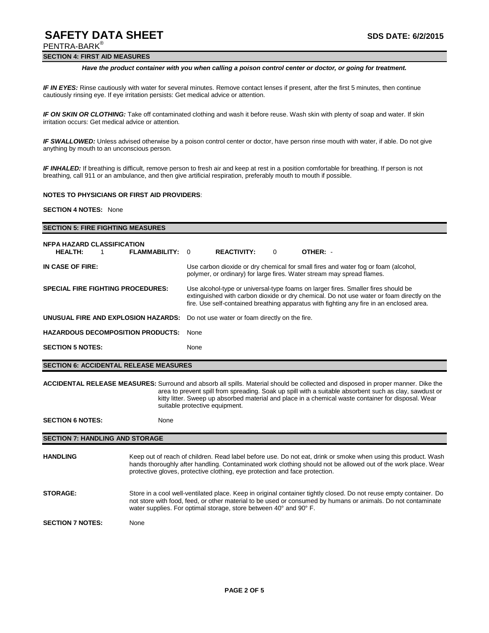# **SAFETY DATA SHEET SAFETY DATA** SUBLET

PENTRA-BARK®

## **SECTION 4: FIRST AID MEASURES**

### *Have the product container with you when calling a poison control center or doctor, or going for treatment.*

*IF IN EYES:* Rinse cautiously with water for several minutes. Remove contact lenses if present, after the first 5 minutes, then continue cautiously rinsing eye. If eye irritation persists: Get medical advice or attention.

*IF ON SKIN OR CLOTHING:* Take off contaminated clothing and wash it before reuse. Wash skin with plenty of soap and water. If skin irritation occurs: Get medical advice or attention*.*

*IF SWALLOWED:* Unless advised otherwise by a poison control center or doctor, have person rinse mouth with water, if able. Do not give anything by mouth to an unconscious person.

*IF INHALED:* If breathing is difficult, remove person to fresh air and keep at rest in a position comfortable for breathing. If person is not breathing, call 911 or an ambulance, and then give artificial respiration, preferably mouth to mouth if possible.

### **NOTES TO PHYSICIANS OR FIRST AID PROVIDERS**:

**SECTION 4 NOTES:** None

| <b>SECTION 5: FIRE FIGHTING MEASURES</b>                                                                                                                                                                                                                                                                                                                                                    |                                                                                                                                                                                                                                                                                                                |                                                                                                                                                                                                                                                                             |                                                |   |                                                                                                                                                              |  |  |
|---------------------------------------------------------------------------------------------------------------------------------------------------------------------------------------------------------------------------------------------------------------------------------------------------------------------------------------------------------------------------------------------|----------------------------------------------------------------------------------------------------------------------------------------------------------------------------------------------------------------------------------------------------------------------------------------------------------------|-----------------------------------------------------------------------------------------------------------------------------------------------------------------------------------------------------------------------------------------------------------------------------|------------------------------------------------|---|--------------------------------------------------------------------------------------------------------------------------------------------------------------|--|--|
| <b>NFPA HAZARD CLASSIFICATION</b><br><b>HEALTH:</b><br>$\mathbf 1$                                                                                                                                                                                                                                                                                                                          | <b>FLAMMABILITY:</b>                                                                                                                                                                                                                                                                                           | $\Omega$                                                                                                                                                                                                                                                                    | <b>REACTIVITY:</b>                             | 0 | OTHER: -                                                                                                                                                     |  |  |
| IN CASE OF FIRE:                                                                                                                                                                                                                                                                                                                                                                            |                                                                                                                                                                                                                                                                                                                |                                                                                                                                                                                                                                                                             |                                                |   | Use carbon dioxide or dry chemical for small fires and water fog or foam (alcohol,<br>polymer, or ordinary) for large fires. Water stream may spread flames. |  |  |
| <b>SPECIAL FIRE FIGHTING PROCEDURES:</b>                                                                                                                                                                                                                                                                                                                                                    |                                                                                                                                                                                                                                                                                                                | Use alcohol-type or universal-type foams on larger fires. Smaller fires should be<br>extinguished with carbon dioxide or dry chemical. Do not use water or foam directly on the<br>fire. Use self-contained breathing apparatus with fighting any fire in an enclosed area. |                                                |   |                                                                                                                                                              |  |  |
| UNUSUAL FIRE AND EXPLOSION HAZARDS:                                                                                                                                                                                                                                                                                                                                                         |                                                                                                                                                                                                                                                                                                                |                                                                                                                                                                                                                                                                             | Do not use water or foam directly on the fire. |   |                                                                                                                                                              |  |  |
| <b>HAZARDOUS DECOMPOSITION PRODUCTS:</b>                                                                                                                                                                                                                                                                                                                                                    | None                                                                                                                                                                                                                                                                                                           |                                                                                                                                                                                                                                                                             |                                                |   |                                                                                                                                                              |  |  |
| <b>SECTION 5 NOTES:</b>                                                                                                                                                                                                                                                                                                                                                                     |                                                                                                                                                                                                                                                                                                                | None                                                                                                                                                                                                                                                                        |                                                |   |                                                                                                                                                              |  |  |
| <b>SECTION 6: ACCIDENTAL RELEASE MEASURES</b>                                                                                                                                                                                                                                                                                                                                               |                                                                                                                                                                                                                                                                                                                |                                                                                                                                                                                                                                                                             |                                                |   |                                                                                                                                                              |  |  |
| <b>ACCIDENTAL RELEASE MEASURES:</b> Surround and absorb all spills. Material should be collected and disposed in proper manner. Dike the<br>area to prevent spill from spreading. Soak up spill with a suitable absorbent such as clay, sawdust or<br>kitty litter. Sweep up absorbed material and place in a chemical waste container for disposal. Wear<br>suitable protective equipment. |                                                                                                                                                                                                                                                                                                                |                                                                                                                                                                                                                                                                             |                                                |   |                                                                                                                                                              |  |  |
| <b>SECTION 6 NOTES:</b>                                                                                                                                                                                                                                                                                                                                                                     | None                                                                                                                                                                                                                                                                                                           |                                                                                                                                                                                                                                                                             |                                                |   |                                                                                                                                                              |  |  |
| <b>SECTION 7: HANDLING AND STORAGE</b>                                                                                                                                                                                                                                                                                                                                                      |                                                                                                                                                                                                                                                                                                                |                                                                                                                                                                                                                                                                             |                                                |   |                                                                                                                                                              |  |  |
| <b>HANDLING</b>                                                                                                                                                                                                                                                                                                                                                                             | Keep out of reach of children. Read label before use. Do not eat, drink or smoke when using this product. Wash<br>hands thoroughly after handling. Contaminated work clothing should not be allowed out of the work place. Wear<br>protective gloves, protective clothing, eye protection and face protection. |                                                                                                                                                                                                                                                                             |                                                |   |                                                                                                                                                              |  |  |
| <b>STORAGE:</b>                                                                                                                                                                                                                                                                                                                                                                             | Store in a cool well-ventilated place. Keep in original container tightly closed. Do not reuse empty container. Do<br>not store with food, feed, or other material to be used or consumed by humans or animals. Do not contaminate<br>water supplies. For optimal storage, store between 40° and 90° F.        |                                                                                                                                                                                                                                                                             |                                                |   |                                                                                                                                                              |  |  |
| <b>SECTION 7 NOTES:</b>                                                                                                                                                                                                                                                                                                                                                                     | None                                                                                                                                                                                                                                                                                                           |                                                                                                                                                                                                                                                                             |                                                |   |                                                                                                                                                              |  |  |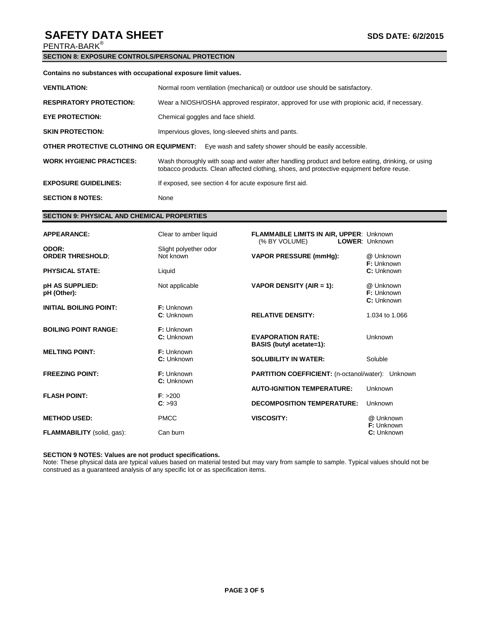# **SAFETY DATA SHEET** SAFETY DATA SHEET

PENTRA-BARK®

# **SECTION 8: EXPOSURE CONTROLS/PERSONAL PROTECTION**

## **Contains no substances with occupational exposure limit values.**

| <b>VENTILATION:</b>                                                                                | Normal room ventilation (mechanical) or outdoor use should be satisfactory.                                                                                                                  |  |  |  |
|----------------------------------------------------------------------------------------------------|----------------------------------------------------------------------------------------------------------------------------------------------------------------------------------------------|--|--|--|
| <b>RESPIRATORY PROTECTION:</b>                                                                     | Wear a NIOSH/OSHA approved respirator, approved for use with propionic acid, if necessary.                                                                                                   |  |  |  |
| <b>EYE PROTECTION:</b>                                                                             | Chemical goggles and face shield.                                                                                                                                                            |  |  |  |
| <b>SKIN PROTECTION:</b>                                                                            | Impervious gloves, long-sleeved shirts and pants.                                                                                                                                            |  |  |  |
| OTHER PROTECTIVE CLOTHING OR EQUIPMENT:<br>Eye wash and safety shower should be easily accessible. |                                                                                                                                                                                              |  |  |  |
| <b>WORK HYGIENIC PRACTICES:</b>                                                                    | Wash thoroughly with soap and water after handling product and before eating, drinking, or using<br>tobacco products. Clean affected clothing, shoes, and protective equipment before reuse. |  |  |  |
| <b>EXPOSURE GUIDELINES:</b>                                                                        | If exposed, see section 4 for acute exposure first aid.                                                                                                                                      |  |  |  |
| <b>SECTION 8 NOTES:</b>                                                                            | None                                                                                                                                                                                         |  |  |  |

# **SECTION 9: PHYSICAL AND CHEMICAL PROPERTIES**

| <b>APPEARANCE:</b>                | Clear to amber liquid              | FLAMMABLE LIMITS IN AIR, UPPER: Unknown<br>(% BY VOLUME)    | LOWER: Unknown                               |
|-----------------------------------|------------------------------------|-------------------------------------------------------------|----------------------------------------------|
| ODOR:<br><b>ORDER THRESHOLD;</b>  | Slight polyether odor<br>Not known | <b>VAPOR PRESSURE (mmHg):</b>                               | @ Unknown<br>F: Unknown                      |
| <b>PHYSICAL STATE:</b>            | Liquid                             |                                                             | C: Unknown                                   |
| pH AS SUPPLIED:<br>pH (Other):    | Not applicable                     | VAPOR DENSITY (AIR = 1):                                    | @ Unknown<br><b>F:</b> Unknown<br>C: Unknown |
| <b>INITIAL BOILING POINT:</b>     | F: Unknown<br>C: Unknown           | <b>RELATIVE DENSITY:</b>                                    | 1.034 to 1.066                               |
| <b>BOILING POINT RANGE:</b>       | F: Unknown<br>C: Unknown           | <b>EVAPORATION RATE:</b><br><b>BASIS</b> (butyl acetate=1): | <b>Unknown</b>                               |
| <b>MELTING POINT:</b>             | F: Unknown<br>C: Unknown           | <b>SOLUBILITY IN WATER:</b>                                 | Soluble                                      |
| <b>FREEZING POINT:</b>            | F: Unknown<br>C: Unknown           | <b>PARTITION COEFFICIENT:</b> (n-octanol/water): Unknown    |                                              |
| <b>FLASH POINT:</b>               | F: > 200                           | <b>AUTO-IGNITION TEMPERATURE:</b>                           | Unknown                                      |
|                                   | C: >93                             | <b>DECOMPOSITION TEMPERATURE:</b>                           | Unknown                                      |
| <b>METHOD USED:</b>               | <b>PMCC</b>                        | <b>VISCOSITY:</b>                                           | @ Unknown<br>F: Unknown                      |
| <b>FLAMMABILITY</b> (solid, gas): | Can burn                           |                                                             | C: Unknown                                   |

# **SECTION 9 NOTES: Values are not product specifications.**

Note: These physical data are typical values based on material tested but may vary from sample to sample. Typical values should not be construed as a guaranteed analysis of any specific lot or as specification items.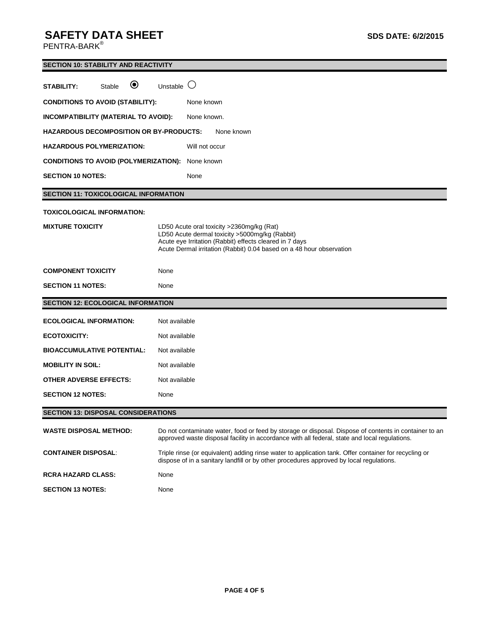# **SAFETY DATA SHEET SDS DATE: 6/2/2015**

 $\mathsf{PENTRA}\text{-}\mathsf{BARK}^\circledast$ 

|                                                         | <b>SECTION 10: STABILITY AND REACTIVITY</b>                                                                                                                                                                                    |  |  |  |  |
|---------------------------------------------------------|--------------------------------------------------------------------------------------------------------------------------------------------------------------------------------------------------------------------------------|--|--|--|--|
| $\boldsymbol{\circledbullet}$<br>STABILITY:<br>Stable   | Unstable $\bigcirc$                                                                                                                                                                                                            |  |  |  |  |
| <b>CONDITIONS TO AVOID (STABILITY):</b>                 | None known                                                                                                                                                                                                                     |  |  |  |  |
| INCOMPATIBILITY (MATERIAL TO AVOID):                    | None known.                                                                                                                                                                                                                    |  |  |  |  |
| <b>HAZARDOUS DECOMPOSITION OR BY-PRODUCTS:</b>          | None known                                                                                                                                                                                                                     |  |  |  |  |
| <b>HAZARDOUS POLYMERIZATION:</b>                        | Will not occur                                                                                                                                                                                                                 |  |  |  |  |
| <b>CONDITIONS TO AVOID (POLYMERIZATION):</b> None known |                                                                                                                                                                                                                                |  |  |  |  |
| <b>SECTION 10 NOTES:</b>                                | None                                                                                                                                                                                                                           |  |  |  |  |
| <b>SECTION 11: TOXICOLOGICAL INFORMATION</b>            |                                                                                                                                                                                                                                |  |  |  |  |
| <b>TOXICOLOGICAL INFORMATION:</b>                       |                                                                                                                                                                                                                                |  |  |  |  |
| <b>MIXTURE TOXICITY</b>                                 | LD50 Acute oral toxicity >2360mg/kg (Rat)<br>LD50 Acute dermal toxicity >5000mg/kg (Rabbit)<br>Acute eye Irritation (Rabbit) effects cleared in 7 days<br>Acute Dermal irritation (Rabbit) 0.04 based on a 48 hour observation |  |  |  |  |
| <b>COMPONENT TOXICITY</b>                               | None                                                                                                                                                                                                                           |  |  |  |  |
| <b>SECTION 11 NOTES:</b>                                | None                                                                                                                                                                                                                           |  |  |  |  |
| <b>SECTION 12: ECOLOGICAL INFORMATION</b>               |                                                                                                                                                                                                                                |  |  |  |  |
| <b>ECOLOGICAL INFORMATION:</b>                          | Not available                                                                                                                                                                                                                  |  |  |  |  |
| <b>ECOTOXICITY:</b>                                     | Not available                                                                                                                                                                                                                  |  |  |  |  |
| <b>BIOACCUMULATIVE POTENTIAL:</b>                       | Not available                                                                                                                                                                                                                  |  |  |  |  |
| <b>MOBILITY IN SOIL:</b>                                | Not available                                                                                                                                                                                                                  |  |  |  |  |
| OTHER ADVERSE EFFECTS:                                  | Not available                                                                                                                                                                                                                  |  |  |  |  |
| <b>SECTION 12 NOTES:</b>                                | None                                                                                                                                                                                                                           |  |  |  |  |
| <b>SECTION 13: DISPOSAL CONSIDERATIONS</b>              |                                                                                                                                                                                                                                |  |  |  |  |
| <b>WASTE DISPOSAL METHOD:</b>                           | Do not contaminate water, food or feed by storage or disposal. Dispose of contents in container to an<br>approved waste disposal facility in accordance with all federal, state and local regulations.                         |  |  |  |  |
| <b>CONTAINER DISPOSAL:</b>                              | Triple rinse (or equivalent) adding rinse water to application tank. Offer container for recycling or<br>dispose of in a sanitary landfill or by other procedures approved by local regulations.                               |  |  |  |  |
| <b>RCRA HAZARD CLASS:</b>                               | None                                                                                                                                                                                                                           |  |  |  |  |
| <b>SECTION 13 NOTES:</b>                                | None                                                                                                                                                                                                                           |  |  |  |  |